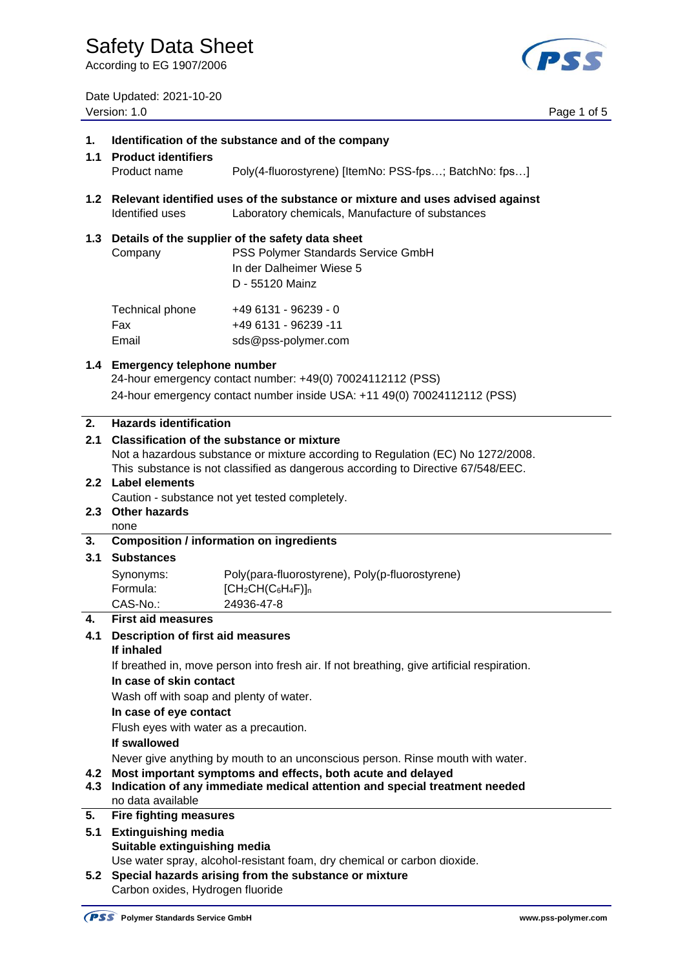According to EG 1907/2006

(PSS

Date Updated: 2021-10-20

|            | Date Updated: 2021-10-20<br>Version: 1.0                                                                                                                |                                                                                                                                        | Page 1 of 5 |  |
|------------|---------------------------------------------------------------------------------------------------------------------------------------------------------|----------------------------------------------------------------------------------------------------------------------------------------|-------------|--|
| 1.         | Identification of the substance and of the company<br>1.1 Product identifiers                                                                           |                                                                                                                                        |             |  |
|            | Product name                                                                                                                                            | Poly(4-fluorostyrene) [ItemNo: PSS-fps; BatchNo: fps]                                                                                  |             |  |
|            | 1.2 Relevant identified uses of the substance or mixture and uses advised against<br>Identified uses<br>Laboratory chemicals, Manufacture of substances |                                                                                                                                        |             |  |
|            | 1.3 Details of the supplier of the safety data sheet<br>PSS Polymer Standards Service GmbH<br>Company<br>In der Dalheimer Wiese 5<br>D - 55120 Mainz    |                                                                                                                                        |             |  |
|            | Technical phone<br>Fax<br>Email                                                                                                                         | +49 6131 - 96239 - 0<br>+49 6131 - 96239 -11<br>sds@pss-polymer.com                                                                    |             |  |
|            | 1.4 Emergency telephone number                                                                                                                          | 24-hour emergency contact number: +49(0) 70024112112 (PSS)<br>24-hour emergency contact number inside USA: +11 49(0) 70024112112 (PSS) |             |  |
| 2.         | <b>Hazards identification</b>                                                                                                                           |                                                                                                                                        |             |  |
|            | 2.1<br>Classification of the substance or mixture<br>Not a hazardous substance or mixture according to Regulation (EC) No 1272/2008.                    |                                                                                                                                        |             |  |
|            |                                                                                                                                                         | This substance is not classified as dangerous according to Directive 67/548/EEC.                                                       |             |  |
|            | 2.2 Label elements                                                                                                                                      |                                                                                                                                        |             |  |
|            |                                                                                                                                                         | Caution - substance not yet tested completely.                                                                                         |             |  |
|            | 2.3 Other hazards<br>none                                                                                                                               |                                                                                                                                        |             |  |
| 3.         |                                                                                                                                                         | <b>Composition / information on ingredients</b>                                                                                        |             |  |
| 3.1        | <b>Substances</b>                                                                                                                                       |                                                                                                                                        |             |  |
|            | Synonyms:                                                                                                                                               | Poly(para-fluorostyrene), Poly(p-fluorostyrene)                                                                                        |             |  |
|            | Formula:                                                                                                                                                | $[CH2CH(C6H4F)]n$                                                                                                                      |             |  |
| 4.         | CAS-No.:<br><b>First aid measures</b>                                                                                                                   | 24936-47-8                                                                                                                             |             |  |
| 4.1        | <b>Description of first aid measures</b>                                                                                                                |                                                                                                                                        |             |  |
|            | If inhaled                                                                                                                                              |                                                                                                                                        |             |  |
|            | If breathed in, move person into fresh air. If not breathing, give artificial respiration.                                                              |                                                                                                                                        |             |  |
|            | In case of skin contact                                                                                                                                 |                                                                                                                                        |             |  |
|            | Wash off with soap and plenty of water.<br>In case of eye contact<br>Flush eyes with water as a precaution.<br>If swallowed                             |                                                                                                                                        |             |  |
|            |                                                                                                                                                         |                                                                                                                                        |             |  |
|            |                                                                                                                                                         |                                                                                                                                        |             |  |
|            | Never give anything by mouth to an unconscious person. Rinse mouth with water.                                                                          |                                                                                                                                        |             |  |
| 4.2<br>4.3 | Most important symptoms and effects, both acute and delayed<br>Indication of any immediate medical attention and special treatment needed               |                                                                                                                                        |             |  |
| 5.         | no data available                                                                                                                                       |                                                                                                                                        |             |  |
| 5.1        | <b>Fire fighting measures</b><br><b>Extinguishing media</b>                                                                                             |                                                                                                                                        |             |  |
|            | Suitable extinguishing media                                                                                                                            |                                                                                                                                        |             |  |
|            |                                                                                                                                                         | Use water spray, alcohol-resistant foam, dry chemical or carbon dioxide.                                                               |             |  |
| 5.2        | Special hazards arising from the substance or mixture                                                                                                   |                                                                                                                                        |             |  |

Carbon oxides, Hydrogen fluoride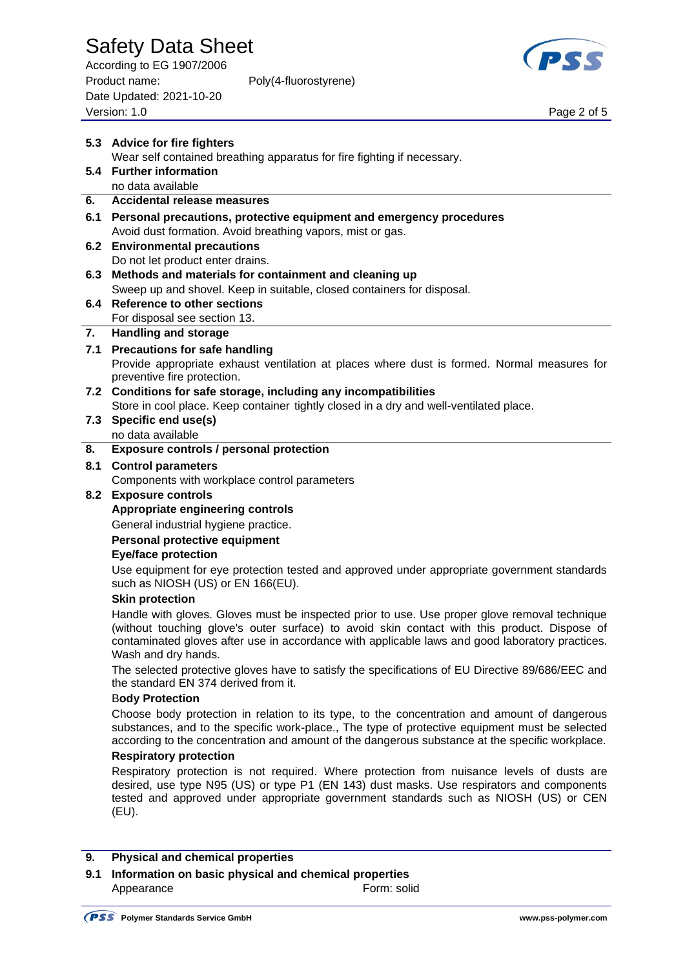According to EG 1907/2006 Product name: Poly(4-fluorostyrene) Date Updated: 2021-10-20 Page 2 of 5<br>Version: 1.0 Page 2 of 5



|     | 5.3 Advice for fire fighters                                                                                                                                                                                                                                                                                            |  |  |  |
|-----|-------------------------------------------------------------------------------------------------------------------------------------------------------------------------------------------------------------------------------------------------------------------------------------------------------------------------|--|--|--|
|     | Wear self contained breathing apparatus for fire fighting if necessary.                                                                                                                                                                                                                                                 |  |  |  |
|     | 5.4 Further information                                                                                                                                                                                                                                                                                                 |  |  |  |
|     | no data available                                                                                                                                                                                                                                                                                                       |  |  |  |
| 6.  | <b>Accidental release measures</b>                                                                                                                                                                                                                                                                                      |  |  |  |
| 6.1 | Personal precautions, protective equipment and emergency procedures                                                                                                                                                                                                                                                     |  |  |  |
|     | Avoid dust formation. Avoid breathing vapors, mist or gas.                                                                                                                                                                                                                                                              |  |  |  |
| 6.2 | <b>Environmental precautions</b>                                                                                                                                                                                                                                                                                        |  |  |  |
|     | Do not let product enter drains.                                                                                                                                                                                                                                                                                        |  |  |  |
| 6.3 | Methods and materials for containment and cleaning up                                                                                                                                                                                                                                                                   |  |  |  |
|     | Sweep up and shovel. Keep in suitable, closed containers for disposal.                                                                                                                                                                                                                                                  |  |  |  |
| 6.4 | <b>Reference to other sections</b>                                                                                                                                                                                                                                                                                      |  |  |  |
|     | For disposal see section 13.                                                                                                                                                                                                                                                                                            |  |  |  |
| 7.  | <b>Handling and storage</b>                                                                                                                                                                                                                                                                                             |  |  |  |
| 7.1 | <b>Precautions for safe handling</b>                                                                                                                                                                                                                                                                                    |  |  |  |
|     | Provide appropriate exhaust ventilation at places where dust is formed. Normal measures for<br>preventive fire protection.                                                                                                                                                                                              |  |  |  |
|     | 7.2 Conditions for safe storage, including any incompatibilities                                                                                                                                                                                                                                                        |  |  |  |
|     | Store in cool place. Keep container tightly closed in a dry and well-ventilated place.                                                                                                                                                                                                                                  |  |  |  |
| 7.3 | Specific end use(s)                                                                                                                                                                                                                                                                                                     |  |  |  |
|     | no data available                                                                                                                                                                                                                                                                                                       |  |  |  |
| 8.  | Exposure controls / personal protection                                                                                                                                                                                                                                                                                 |  |  |  |
| 8.1 | <b>Control parameters</b>                                                                                                                                                                                                                                                                                               |  |  |  |
|     | Components with workplace control parameters                                                                                                                                                                                                                                                                            |  |  |  |
| 8.2 | <b>Exposure controls</b>                                                                                                                                                                                                                                                                                                |  |  |  |
|     | <b>Appropriate engineering controls</b>                                                                                                                                                                                                                                                                                 |  |  |  |
|     | General industrial hygiene practice.                                                                                                                                                                                                                                                                                    |  |  |  |
|     | Personal protective equipment                                                                                                                                                                                                                                                                                           |  |  |  |
|     | <b>Eye/face protection</b>                                                                                                                                                                                                                                                                                              |  |  |  |
|     | Use equipment for eye protection tested and approved under appropriate government standards<br>such as NIOSH (US) or EN 166(EU).                                                                                                                                                                                        |  |  |  |
|     | <b>Skin protection</b>                                                                                                                                                                                                                                                                                                  |  |  |  |
|     | Handle with gloves. Gloves must be inspected prior to use. Use proper glove removal technique<br>(without touching glove's outer surface) to avoid skin contact with this product. Dispose of<br>contaminated gloves after use in accordance with applicable laws and good laboratory practices.<br>Wash and dry hands. |  |  |  |
|     | The selected protective gloves have to satisfy the specifications of EU Directive 89/686/EEC and<br>the standard EN 374 derived from it.                                                                                                                                                                                |  |  |  |
|     | <b>Body Protection</b>                                                                                                                                                                                                                                                                                                  |  |  |  |
|     | Choose body protection in relation to its type, to the concentration and amount of dangerous                                                                                                                                                                                                                            |  |  |  |
|     | substances, and to the specific work-place., The type of protective equipment must be selected<br>according to the concentration and amount of the dangerous substance at the specific workplace.                                                                                                                       |  |  |  |
|     | <b>Respiratory protection</b>                                                                                                                                                                                                                                                                                           |  |  |  |
|     | Respiratory protection is not required. Where protection from nuisance levels of dusts are                                                                                                                                                                                                                              |  |  |  |
|     | desired, use type N95 (US) or type P1 (EN 143) dust masks. Use respirators and components<br>tested and approved under appropriate government standards such as NIOSH (US) or CEN<br>(EU).                                                                                                                              |  |  |  |
|     |                                                                                                                                                                                                                                                                                                                         |  |  |  |
| 9.  | <b>Physical and chemical properties</b>                                                                                                                                                                                                                                                                                 |  |  |  |

**9.1 Information on basic physical and chemical properties** Appearance Form: solid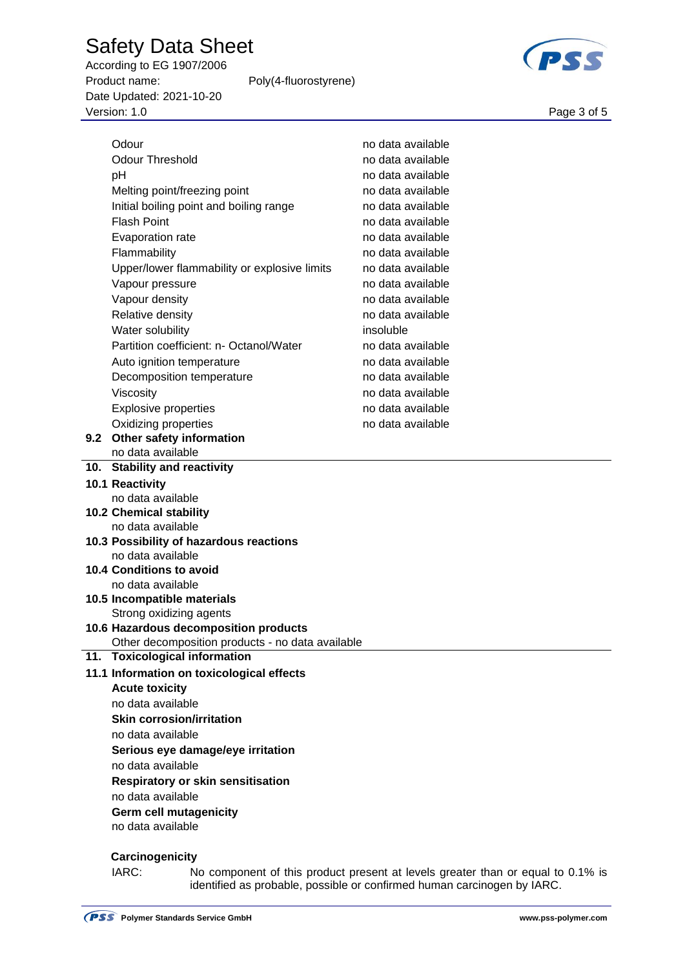According to EG 1907/2006 Product name: Poly(4-fluorostyrene) Date Updated: 2021-10-20 Page 3 of 5<br>Version: 1.0 Page 3 of 5



|     | Odour                                            | no data available |
|-----|--------------------------------------------------|-------------------|
|     | <b>Odour Threshold</b>                           | no data available |
|     | pH                                               | no data available |
|     | Melting point/freezing point                     | no data available |
|     | Initial boiling point and boiling range          | no data available |
|     | <b>Flash Point</b>                               |                   |
|     |                                                  | no data available |
|     | Evaporation rate                                 | no data available |
|     | Flammability                                     | no data available |
|     | Upper/lower flammability or explosive limits     | no data available |
|     | Vapour pressure                                  | no data available |
|     | Vapour density                                   | no data available |
|     | Relative density                                 | no data available |
|     | Water solubility                                 | insoluble         |
|     | Partition coefficient: n- Octanol/Water          | no data available |
|     | Auto ignition temperature                        | no data available |
|     | Decomposition temperature                        | no data available |
|     | Viscosity                                        | no data available |
|     | <b>Explosive properties</b>                      | no data available |
|     | Oxidizing properties                             | no data available |
| 9.2 | Other safety information                         |                   |
|     | no data available                                |                   |
|     | 10. Stability and reactivity                     |                   |
|     | 10.1 Reactivity                                  |                   |
|     | no data available                                |                   |
|     | 10.2 Chemical stability                          |                   |
|     | no data available                                |                   |
|     | 10.3 Possibility of hazardous reactions          |                   |
|     | no data available<br>10.4 Conditions to avoid    |                   |
|     | no data available                                |                   |
|     | 10.5 Incompatible materials                      |                   |
|     | Strong oxidizing agents                          |                   |
|     | 10.6 Hazardous decomposition products            |                   |
|     | Other decomposition products - no data available |                   |
|     | 11. Toxicological information                    |                   |
|     | 11.1 Information on toxicological effects        |                   |
|     | <b>Acute toxicity</b>                            |                   |
|     | no data available                                |                   |
|     | <b>Skin corrosion/irritation</b>                 |                   |
|     | no data available                                |                   |
|     | Serious eye damage/eye irritation                |                   |
|     | no data available                                |                   |
|     | <b>Respiratory or skin sensitisation</b>         |                   |
|     | no data available                                |                   |
|     | Germ cell mutagenicity                           |                   |
|     | no data available                                |                   |
|     |                                                  |                   |
|     | Carcinogenicity                                  |                   |

IARC: No component of this product present at levels greater than or equal to 0.1% is identified as probable, possible or confirmed human carcinogen by IARC.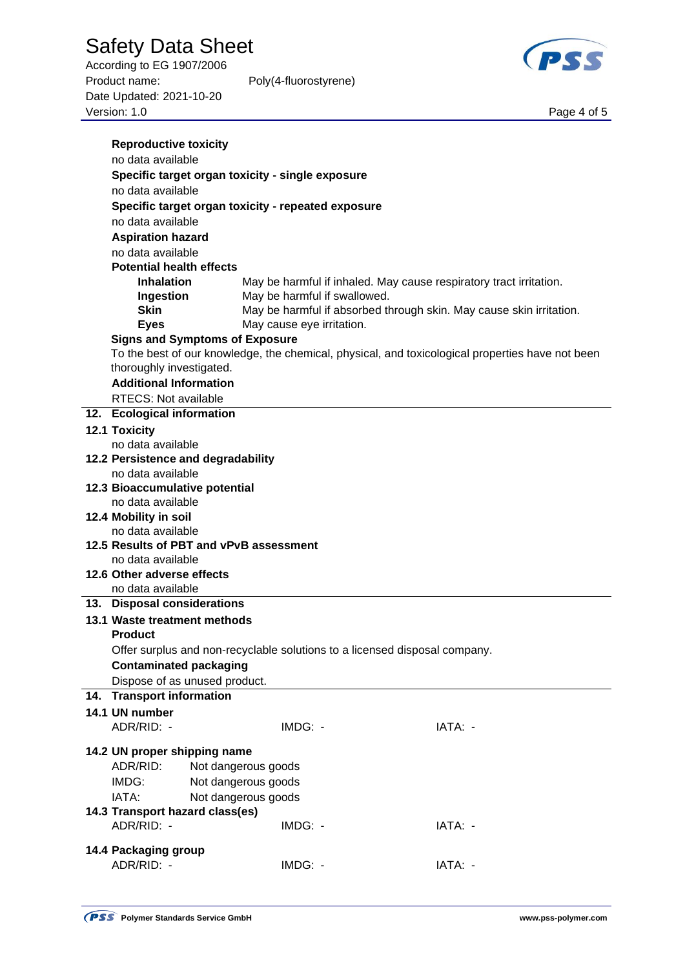According to EG 1907/2006 Product name: Poly(4-fluorostyrene) Date Updated: 2021-10-20 Page 4 of 5<br>Version: 1.0 Page 4 of 5



| <b>Reproductive toxicity</b>                               |                                                                            |                                                                                                  |  |  |  |  |
|------------------------------------------------------------|----------------------------------------------------------------------------|--------------------------------------------------------------------------------------------------|--|--|--|--|
| no data available                                          |                                                                            |                                                                                                  |  |  |  |  |
| Specific target organ toxicity - single exposure           |                                                                            |                                                                                                  |  |  |  |  |
| no data available                                          |                                                                            |                                                                                                  |  |  |  |  |
| Specific target organ toxicity - repeated exposure         |                                                                            |                                                                                                  |  |  |  |  |
| no data available                                          |                                                                            |                                                                                                  |  |  |  |  |
| <b>Aspiration hazard</b>                                   |                                                                            |                                                                                                  |  |  |  |  |
| no data available                                          |                                                                            |                                                                                                  |  |  |  |  |
| <b>Potential health effects</b>                            |                                                                            |                                                                                                  |  |  |  |  |
| <b>Inhalation</b>                                          |                                                                            | May be harmful if inhaled. May cause respiratory tract irritation.                               |  |  |  |  |
| Ingestion                                                  | May be harmful if swallowed.                                               |                                                                                                  |  |  |  |  |
| <b>Skin</b>                                                |                                                                            | May be harmful if absorbed through skin. May cause skin irritation.                              |  |  |  |  |
| <b>Eyes</b>                                                | May cause eye irritation.                                                  |                                                                                                  |  |  |  |  |
| <b>Signs and Symptoms of Exposure</b>                      |                                                                            |                                                                                                  |  |  |  |  |
|                                                            |                                                                            | To the best of our knowledge, the chemical, physical, and toxicological properties have not been |  |  |  |  |
| thoroughly investigated.                                   |                                                                            |                                                                                                  |  |  |  |  |
| <b>Additional Information</b>                              |                                                                            |                                                                                                  |  |  |  |  |
| <b>RTECS: Not available</b>                                |                                                                            |                                                                                                  |  |  |  |  |
| 12. Ecological information                                 |                                                                            |                                                                                                  |  |  |  |  |
| 12.1 Toxicity                                              |                                                                            |                                                                                                  |  |  |  |  |
| no data available                                          |                                                                            |                                                                                                  |  |  |  |  |
| 12.2 Persistence and degradability<br>no data available    |                                                                            |                                                                                                  |  |  |  |  |
| 12.3 Bioaccumulative potential                             |                                                                            |                                                                                                  |  |  |  |  |
| no data available                                          |                                                                            |                                                                                                  |  |  |  |  |
| 12.4 Mobility in soil                                      |                                                                            |                                                                                                  |  |  |  |  |
| no data available                                          |                                                                            |                                                                                                  |  |  |  |  |
| 12.5 Results of PBT and vPvB assessment                    |                                                                            |                                                                                                  |  |  |  |  |
| no data available                                          |                                                                            |                                                                                                  |  |  |  |  |
| 12.6 Other adverse effects                                 |                                                                            |                                                                                                  |  |  |  |  |
| no data available                                          |                                                                            |                                                                                                  |  |  |  |  |
| 13. Disposal considerations                                |                                                                            |                                                                                                  |  |  |  |  |
| 13.1 Waste treatment methods                               |                                                                            |                                                                                                  |  |  |  |  |
| <b>Product</b>                                             |                                                                            |                                                                                                  |  |  |  |  |
|                                                            | Offer surplus and non-recyclable solutions to a licensed disposal company. |                                                                                                  |  |  |  |  |
| <b>Contaminated packaging</b>                              |                                                                            |                                                                                                  |  |  |  |  |
| Dispose of as unused product.<br>14. Transport information |                                                                            |                                                                                                  |  |  |  |  |
| 14.1 UN number                                             |                                                                            |                                                                                                  |  |  |  |  |
| ADR/RID: -                                                 | IMDG: -                                                                    | IATA: -                                                                                          |  |  |  |  |
|                                                            |                                                                            |                                                                                                  |  |  |  |  |
| 14.2 UN proper shipping name                               |                                                                            |                                                                                                  |  |  |  |  |
| ADR/RID:                                                   | Not dangerous goods                                                        |                                                                                                  |  |  |  |  |
| IMDG:                                                      | Not dangerous goods                                                        |                                                                                                  |  |  |  |  |
| IATA:                                                      | Not dangerous goods                                                        |                                                                                                  |  |  |  |  |
| 14.3 Transport hazard class(es)                            |                                                                            |                                                                                                  |  |  |  |  |
| ADR/RID: -                                                 | IMDG: -                                                                    | IATA: -                                                                                          |  |  |  |  |
| 14.4 Packaging group                                       |                                                                            |                                                                                                  |  |  |  |  |
| ADR/RID: -                                                 | IMDG: -                                                                    | IATA: -                                                                                          |  |  |  |  |
|                                                            |                                                                            |                                                                                                  |  |  |  |  |